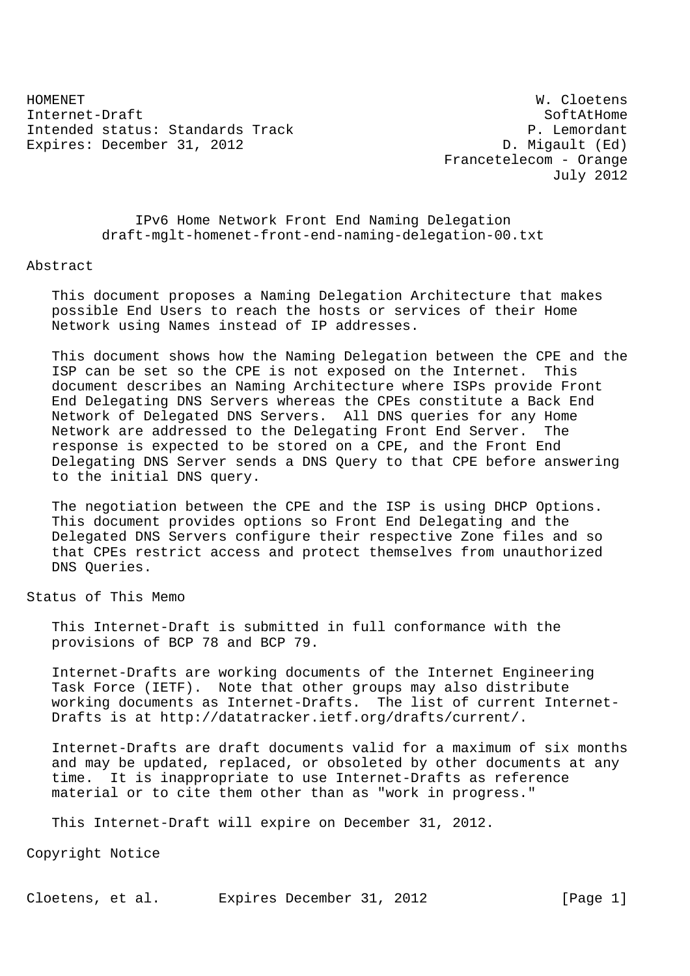HOMENET W. Cloetens Internet-Draft SoftAtHome Intended status: Standards Track P. Lemordant Expires: December 31, 2012 D. Migault (Ed)

 Francetelecom - Orange July 2012

 IPv6 Home Network Front End Naming Delegation draft-mglt-homenet-front-end-naming-delegation-00.txt

Abstract

 This document proposes a Naming Delegation Architecture that makes possible End Users to reach the hosts or services of their Home Network using Names instead of IP addresses.

 This document shows how the Naming Delegation between the CPE and the ISP can be set so the CPE is not exposed on the Internet. This document describes an Naming Architecture where ISPs provide Front End Delegating DNS Servers whereas the CPEs constitute a Back End Network of Delegated DNS Servers. All DNS queries for any Home Network are addressed to the Delegating Front End Server. The response is expected to be stored on a CPE, and the Front End Delegating DNS Server sends a DNS Query to that CPE before answering to the initial DNS query.

 The negotiation between the CPE and the ISP is using DHCP Options. This document provides options so Front End Delegating and the Delegated DNS Servers configure their respective Zone files and so that CPEs restrict access and protect themselves from unauthorized DNS Queries.

Status of This Memo

 This Internet-Draft is submitted in full conformance with the provisions of BCP 78 and BCP 79.

 Internet-Drafts are working documents of the Internet Engineering Task Force (IETF). Note that other groups may also distribute working documents as Internet-Drafts. The list of current Internet- Drafts is at http://datatracker.ietf.org/drafts/current/.

 Internet-Drafts are draft documents valid for a maximum of six months and may be updated, replaced, or obsoleted by other documents at any time. It is inappropriate to use Internet-Drafts as reference material or to cite them other than as "work in progress."

This Internet-Draft will expire on December 31, 2012.

Copyright Notice

Cloetens, et al. Expires December 31, 2012 [Page 1]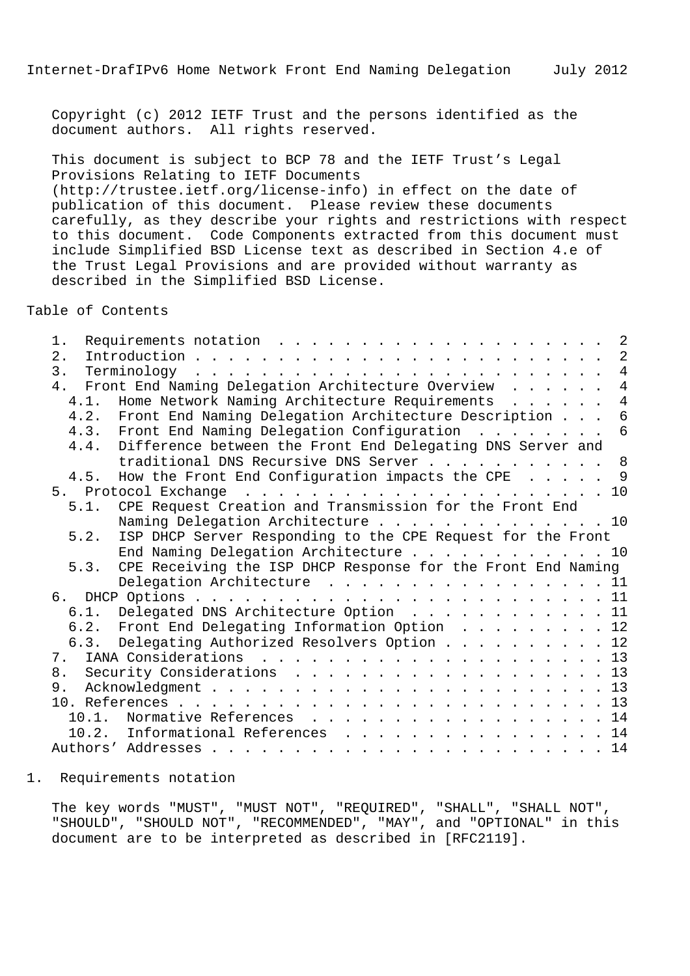Copyright (c) 2012 IETF Trust and the persons identified as the document authors. All rights reserved.

 This document is subject to BCP 78 and the IETF Trust's Legal Provisions Relating to IETF Documents (http://trustee.ietf.org/license-info) in effect on the date of publication of this document. Please review these documents carefully, as they describe your rights and restrictions with respect to this document. Code Components extracted from this document must include Simplified BSD License text as described in Section 4.e of the Trust Legal Provisions and are provided without warranty as described in the Simplified BSD License.

Table of Contents

| 1.   | $\overline{\phantom{0}}^2$                                             |
|------|------------------------------------------------------------------------|
| 2.   | 2                                                                      |
|      | $\overline{4}$                                                         |
|      | 4. Front End Naming Delegation Architecture Overview<br>$\overline{4}$ |
|      | $\overline{4}$<br>4.1. Home Network Naming Architecture Requirements   |
|      | 4.2. Front End Naming Delegation Architecture Description<br>6         |
|      | 4.3. Front End Naming Delegation Configuration 6                       |
|      | Difference between the Front End Delegating DNS Server and<br>4.4.     |
|      | traditional DNS Recursive DNS Server 8                                 |
|      | How the Front End Configuration impacts the CPE 9<br>4.5.              |
|      |                                                                        |
| 5.1. | CPE Request Creation and Transmission for the Front End                |
|      | Naming Delegation Architecture 10                                      |
| 5.2. | ISP DHCP Server Responding to the CPE Request for the Front            |
|      | End Naming Delegation Architecture 10                                  |
| 5.3. | CPE Receiving the ISP DHCP Response for the Front End Naming           |
|      | Delegation Architecture 11                                             |
|      |                                                                        |
|      | 6.1. Delegated DNS Architecture Option 11                              |
|      | 6.2. Front End Delegating Information Option 12                        |
|      | 6.3. Delegating Authorized Resolvers Option 12                         |
| 7.   |                                                                        |
|      | 8. Security Considerations 13                                          |
|      |                                                                        |
|      |                                                                        |
|      | Normative References 14<br>10.1.                                       |
|      | 10.2. Informational References 14                                      |
|      |                                                                        |
|      |                                                                        |

## 1. Requirements notation

 The key words "MUST", "MUST NOT", "REQUIRED", "SHALL", "SHALL NOT", "SHOULD", "SHOULD NOT", "RECOMMENDED", "MAY", and "OPTIONAL" in this document are to be interpreted as described in [RFC2119].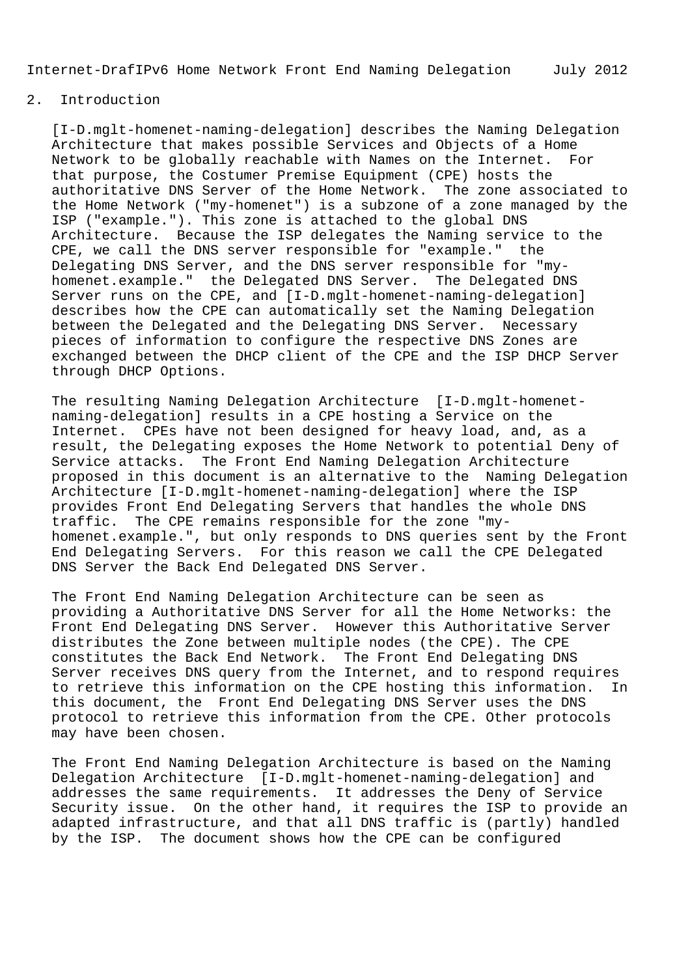## 2. Introduction

 [I-D.mglt-homenet-naming-delegation] describes the Naming Delegation Architecture that makes possible Services and Objects of a Home Network to be globally reachable with Names on the Internet. For that purpose, the Costumer Premise Equipment (CPE) hosts the authoritative DNS Server of the Home Network. The zone associated to the Home Network ("my-homenet") is a subzone of a zone managed by the ISP ("example."). This zone is attached to the global DNS Architecture. Because the ISP delegates the Naming service to the CPE, we call the DNS server responsible for "example." the Delegating DNS Server, and the DNS server responsible for "my homenet.example." the Delegated DNS Server. The Delegated DNS Server runs on the CPE, and [I-D.mglt-homenet-naming-delegation] describes how the CPE can automatically set the Naming Delegation between the Delegated and the Delegating DNS Server. Necessary pieces of information to configure the respective DNS Zones are exchanged between the DHCP client of the CPE and the ISP DHCP Server through DHCP Options.

 The resulting Naming Delegation Architecture [I-D.mglt-homenet naming-delegation] results in a CPE hosting a Service on the Internet. CPEs have not been designed for heavy load, and, as a result, the Delegating exposes the Home Network to potential Deny of Service attacks. The Front End Naming Delegation Architecture proposed in this document is an alternative to the Naming Delegation Architecture [I-D.mglt-homenet-naming-delegation] where the ISP provides Front End Delegating Servers that handles the whole DNS traffic. The CPE remains responsible for the zone "my homenet.example.", but only responds to DNS queries sent by the Front End Delegating Servers. For this reason we call the CPE Delegated DNS Server the Back End Delegated DNS Server.

 The Front End Naming Delegation Architecture can be seen as providing a Authoritative DNS Server for all the Home Networks: the Front End Delegating DNS Server. However this Authoritative Server distributes the Zone between multiple nodes (the CPE). The CPE constitutes the Back End Network. The Front End Delegating DNS Server receives DNS query from the Internet, and to respond requires to retrieve this information on the CPE hosting this information. In this document, the Front End Delegating DNS Server uses the DNS protocol to retrieve this information from the CPE. Other protocols may have been chosen.

 The Front End Naming Delegation Architecture is based on the Naming Delegation Architecture [I-D.mglt-homenet-naming-delegation] and addresses the same requirements. It addresses the Deny of Service Security issue. On the other hand, it requires the ISP to provide an adapted infrastructure, and that all DNS traffic is (partly) handled by the ISP. The document shows how the CPE can be configured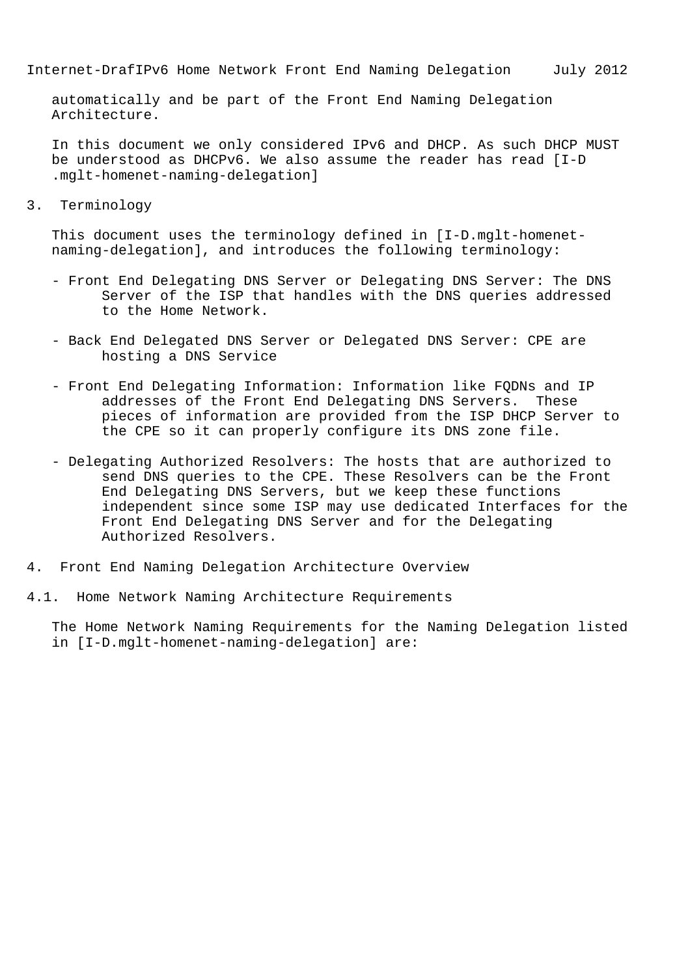automatically and be part of the Front End Naming Delegation Architecture.

 In this document we only considered IPv6 and DHCP. As such DHCP MUST be understood as DHCPv6. We also assume the reader has read [I-D .mglt-homenet-naming-delegation]

3. Terminology

 This document uses the terminology defined in [I-D.mglt-homenet naming-delegation], and introduces the following terminology:

- Front End Delegating DNS Server or Delegating DNS Server: The DNS Server of the ISP that handles with the DNS queries addressed to the Home Network.
- Back End Delegated DNS Server or Delegated DNS Server: CPE are hosting a DNS Service
- Front End Delegating Information: Information like FQDNs and IP addresses of the Front End Delegating DNS Servers. These pieces of information are provided from the ISP DHCP Server to the CPE so it can properly configure its DNS zone file.
- Delegating Authorized Resolvers: The hosts that are authorized to send DNS queries to the CPE. These Resolvers can be the Front End Delegating DNS Servers, but we keep these functions independent since some ISP may use dedicated Interfaces for the Front End Delegating DNS Server and for the Delegating Authorized Resolvers.
- 4. Front End Naming Delegation Architecture Overview
- 4.1. Home Network Naming Architecture Requirements

 The Home Network Naming Requirements for the Naming Delegation listed in [I-D.mglt-homenet-naming-delegation] are: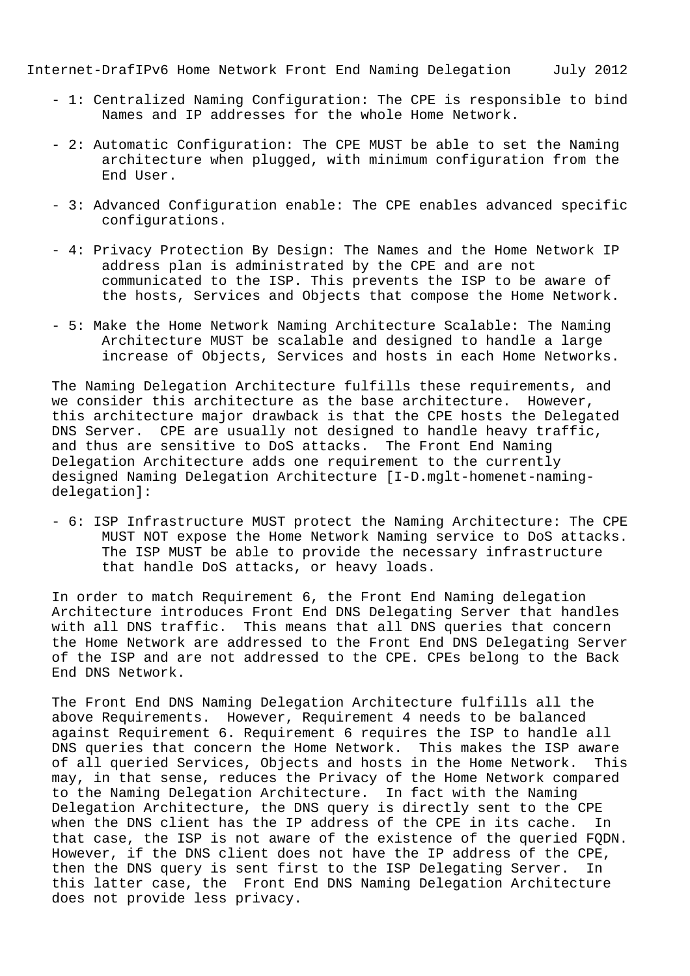- 1: Centralized Naming Configuration: The CPE is responsible to bind Names and IP addresses for the whole Home Network.
- 2: Automatic Configuration: The CPE MUST be able to set the Naming architecture when plugged, with minimum configuration from the End User.
- 3: Advanced Configuration enable: The CPE enables advanced specific configurations.
- 4: Privacy Protection By Design: The Names and the Home Network IP address plan is administrated by the CPE and are not communicated to the ISP. This prevents the ISP to be aware of the hosts, Services and Objects that compose the Home Network.
- 5: Make the Home Network Naming Architecture Scalable: The Naming Architecture MUST be scalable and designed to handle a large increase of Objects, Services and hosts in each Home Networks.

 The Naming Delegation Architecture fulfills these requirements, and we consider this architecture as the base architecture. However, this architecture major drawback is that the CPE hosts the Delegated DNS Server. CPE are usually not designed to handle heavy traffic, and thus are sensitive to DoS attacks. The Front End Naming Delegation Architecture adds one requirement to the currently designed Naming Delegation Architecture [I-D.mglt-homenet-naming delegation]:

 - 6: ISP Infrastructure MUST protect the Naming Architecture: The CPE MUST NOT expose the Home Network Naming service to DoS attacks. The ISP MUST be able to provide the necessary infrastructure that handle DoS attacks, or heavy loads.

 In order to match Requirement 6, the Front End Naming delegation Architecture introduces Front End DNS Delegating Server that handles with all DNS traffic. This means that all DNS queries that concern the Home Network are addressed to the Front End DNS Delegating Server of the ISP and are not addressed to the CPE. CPEs belong to the Back End DNS Network.

 The Front End DNS Naming Delegation Architecture fulfills all the above Requirements. However, Requirement 4 needs to be balanced against Requirement 6. Requirement 6 requires the ISP to handle all DNS queries that concern the Home Network. This makes the ISP aware of all queried Services, Objects and hosts in the Home Network. This may, in that sense, reduces the Privacy of the Home Network compared to the Naming Delegation Architecture. In fact with the Naming Delegation Architecture, the DNS query is directly sent to the CPE when the DNS client has the IP address of the CPE in its cache. In that case, the ISP is not aware of the existence of the queried FQDN. However, if the DNS client does not have the IP address of the CPE, then the DNS query is sent first to the ISP Delegating Server. In this latter case, the Front End DNS Naming Delegation Architecture does not provide less privacy.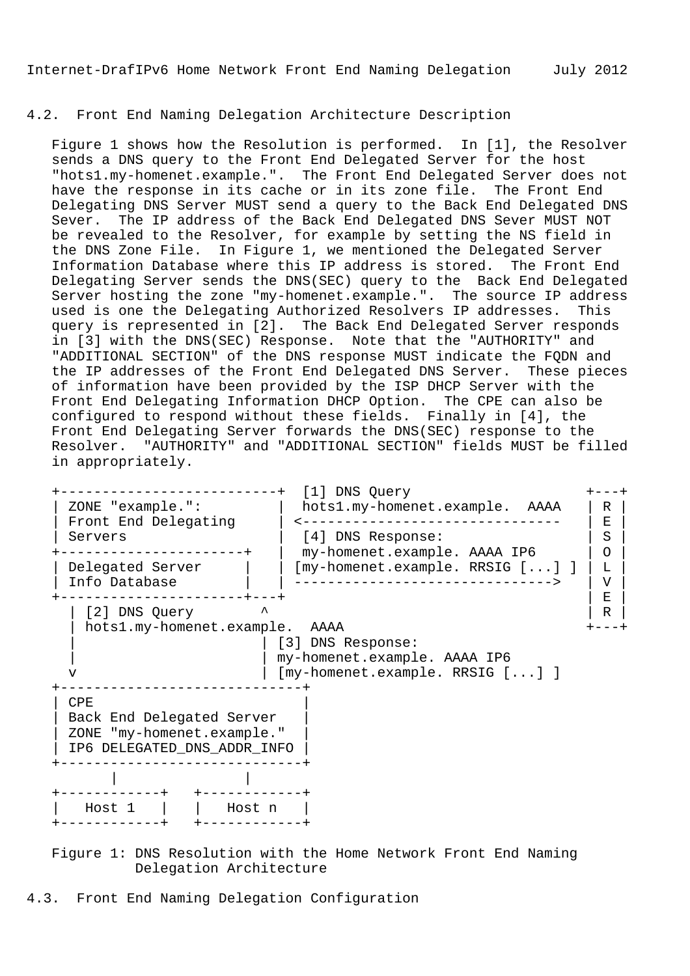## 4.2. Front End Naming Delegation Architecture Description

 Figure 1 shows how the Resolution is performed. In [1], the Resolver sends a DNS query to the Front End Delegated Server for the host "hots1.my-homenet.example.". The Front End Delegated Server does not have the response in its cache or in its zone file. The Front End Delegating DNS Server MUST send a query to the Back End Delegated DNS Sever. The IP address of the Back End Delegated DNS Sever MUST NOT be revealed to the Resolver, for example by setting the NS field in the DNS Zone File. In Figure 1, we mentioned the Delegated Server Information Database where this IP address is stored. The Front End Delegating Server sends the DNS(SEC) query to the Back End Delegated Server hosting the zone "my-homenet.example.". The source IP address used is one the Delegating Authorized Resolvers IP addresses. This query is represented in [2]. The Back End Delegated Server responds in [3] with the DNS(SEC) Response. Note that the "AUTHORITY" and "ADDITIONAL SECTION" of the DNS response MUST indicate the FQDN and the IP addresses of the Front End Delegated DNS Server. These pieces of information have been provided by the ISP DHCP Server with the Front End Delegating Information DHCP Option. The CPE can also be configured to respond without these fields. Finally in [4], the Front End Delegating Server forwards the DNS(SEC) response to the Resolver. "AUTHORITY" and "ADDITIONAL SECTION" fields MUST be filled in appropriately.



 Figure 1: DNS Resolution with the Home Network Front End Naming Delegation Architecture

4.3. Front End Naming Delegation Configuration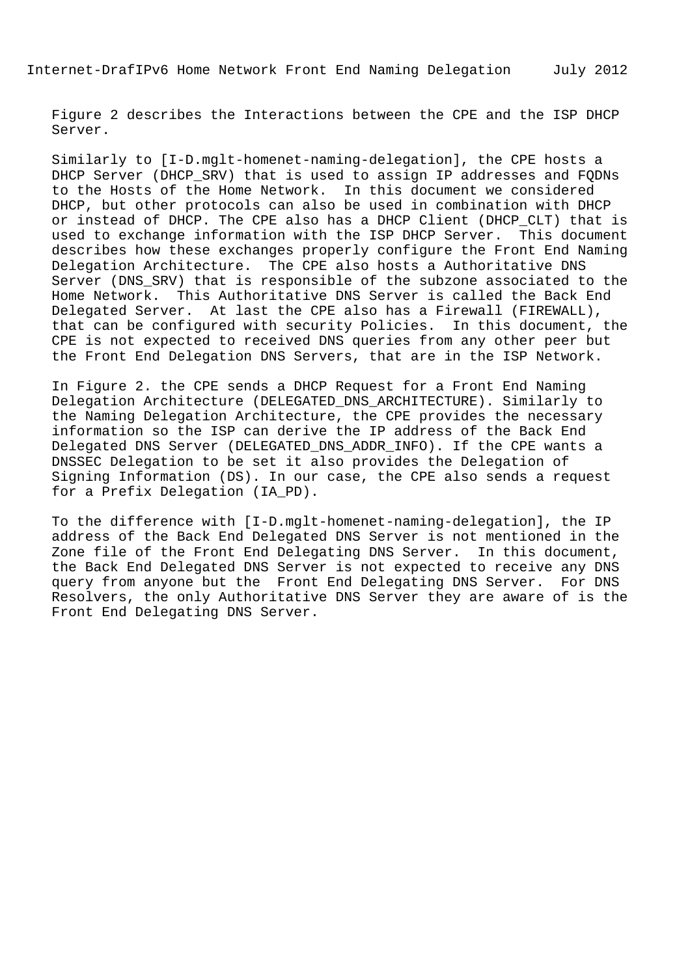Figure 2 describes the Interactions between the CPE and the ISP DHCP Server.

 Similarly to [I-D.mglt-homenet-naming-delegation], the CPE hosts a DHCP Server (DHCP SRV) that is used to assign IP addresses and FQDNs to the Hosts of the Home Network. In this document we considered DHCP, but other protocols can also be used in combination with DHCP or instead of DHCP. The CPE also has a DHCP Client (DHCP\_CLT) that is used to exchange information with the ISP DHCP Server. This document describes how these exchanges properly configure the Front End Naming Delegation Architecture. The CPE also hosts a Authoritative DNS Server (DNS\_SRV) that is responsible of the subzone associated to the Home Network. This Authoritative DNS Server is called the Back End Delegated Server. At last the CPE also has a Firewall (FIREWALL), that can be configured with security Policies. In this document, the CPE is not expected to received DNS queries from any other peer but the Front End Delegation DNS Servers, that are in the ISP Network.

 In Figure 2. the CPE sends a DHCP Request for a Front End Naming Delegation Architecture (DELEGATED\_DNS\_ARCHITECTURE). Similarly to the Naming Delegation Architecture, the CPE provides the necessary information so the ISP can derive the IP address of the Back End Delegated DNS Server (DELEGATED\_DNS\_ADDR\_INFO). If the CPE wants a DNSSEC Delegation to be set it also provides the Delegation of Signing Information (DS). In our case, the CPE also sends a request for a Prefix Delegation (IA\_PD).

 To the difference with [I-D.mglt-homenet-naming-delegation], the IP address of the Back End Delegated DNS Server is not mentioned in the Zone file of the Front End Delegating DNS Server. In this document, the Back End Delegated DNS Server is not expected to receive any DNS query from anyone but the Front End Delegating DNS Server. For DNS Resolvers, the only Authoritative DNS Server they are aware of is the Front End Delegating DNS Server.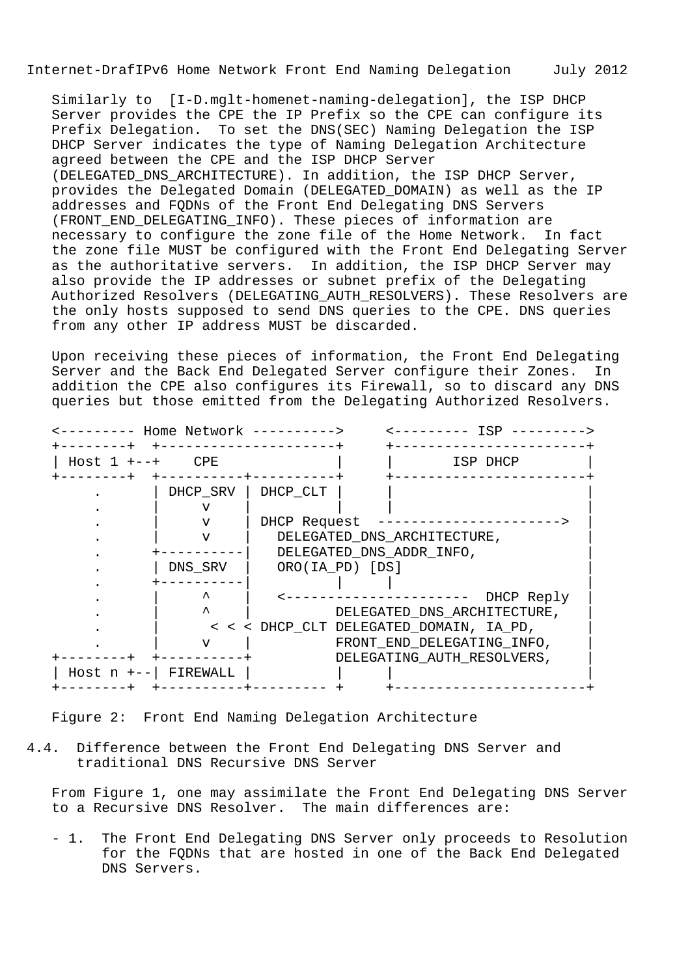Similarly to [I-D.mglt-homenet-naming-delegation], the ISP DHCP Server provides the CPE the IP Prefix so the CPE can configure its Prefix Delegation. To set the DNS(SEC) Naming Delegation the ISP DHCP Server indicates the type of Naming Delegation Architecture agreed between the CPE and the ISP DHCP Server (DELEGATED\_DNS\_ARCHITECTURE). In addition, the ISP DHCP Server, provides the Delegated Domain (DELEGATED\_DOMAIN) as well as the IP addresses and FQDNs of the Front End Delegating DNS Servers (FRONT\_END\_DELEGATING\_INFO). These pieces of information are necessary to configure the zone file of the Home Network. In fact the zone file MUST be configured with the Front End Delegating Server as the authoritative servers. In addition, the ISP DHCP Server may also provide the IP addresses or subnet prefix of the Delegating Authorized Resolvers (DELEGATING\_AUTH\_RESOLVERS). These Resolvers are the only hosts supposed to send DNS queries to the CPE. DNS queries from any other IP address MUST be discarded.

 Upon receiving these pieces of information, the Front End Delegating Server and the Back End Delegated Server configure their Zones. In addition the CPE also configures its Firewall, so to discard any DNS queries but those emitted from the Delegating Authorized Resolvers.

| Host $1 + - - +$ | <b>CPE</b>              | ISP DHCP                                |
|------------------|-------------------------|-----------------------------------------|
|                  | DHCP SRV                | DHCP CLT                                |
|                  |                         |                                         |
|                  | v                       | DHCP Request                            |
|                  | v                       | DELEGATED_DNS_ARCHITECTURE,             |
|                  |                         | DELEGATED_DNS_ADDR_INFO,                |
|                  | DNS SRV                 | ORO(IA PD) [DS]                         |
|                  |                         |                                         |
|                  | ᄉ                       | DHCP Reply                              |
|                  | $\lambda$               | DELEGATED_DNS_ARCHITECTURE,             |
|                  |                         | < < < DHCP_CLT DELEGATED_DOMAIN, IA_PD, |
|                  | v                       | FRONT_END_DELEGATING_INFO,              |
|                  |                         | DELEGATING_AUTH_RESOLVERS,              |
|                  | Host $n + - -$ FIREWALL |                                         |

Figure 2: Front End Naming Delegation Architecture

4.4. Difference between the Front End Delegating DNS Server and traditional DNS Recursive DNS Server

 From Figure 1, one may assimilate the Front End Delegating DNS Server to a Recursive DNS Resolver. The main differences are:

 - 1. The Front End Delegating DNS Server only proceeds to Resolution for the FQDNs that are hosted in one of the Back End Delegated DNS Servers.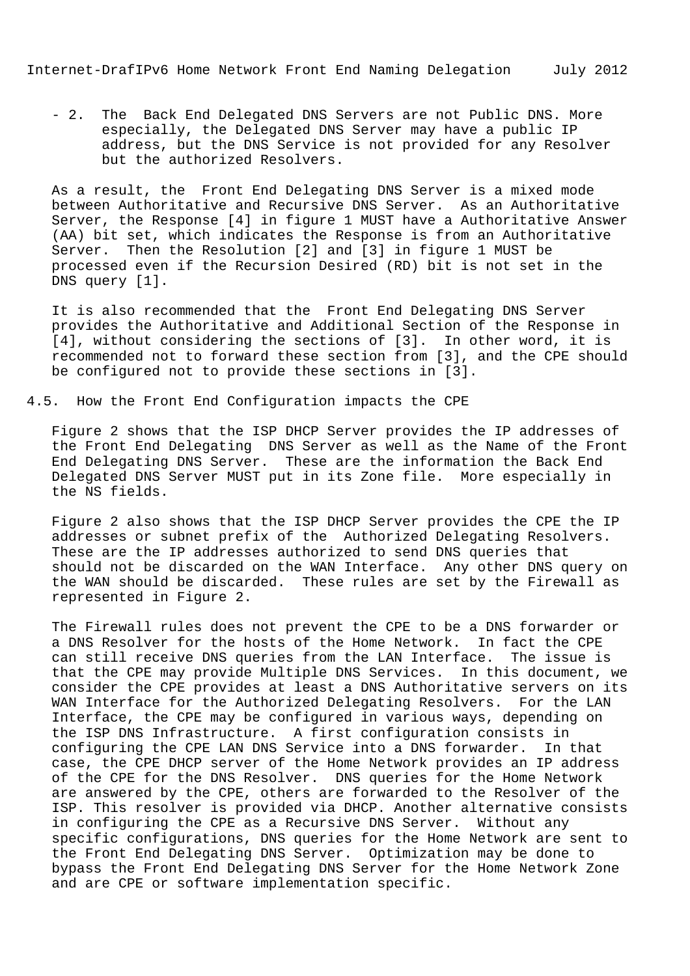- 2. The Back End Delegated DNS Servers are not Public DNS. More especially, the Delegated DNS Server may have a public IP address, but the DNS Service is not provided for any Resolver but the authorized Resolvers.

 As a result, the Front End Delegating DNS Server is a mixed mode between Authoritative and Recursive DNS Server. As an Authoritative Server, the Response [4] in figure 1 MUST have a Authoritative Answer (AA) bit set, which indicates the Response is from an Authoritative Server. Then the Resolution [2] and [3] in figure 1 MUST be processed even if the Recursion Desired (RD) bit is not set in the DNS query [1].

 It is also recommended that the Front End Delegating DNS Server provides the Authoritative and Additional Section of the Response in [4], without considering the sections of [3]. In other word, it is recommended not to forward these section from [3], and the CPE should be configured not to provide these sections in [3].

4.5. How the Front End Configuration impacts the CPE

 Figure 2 shows that the ISP DHCP Server provides the IP addresses of the Front End Delegating DNS Server as well as the Name of the Front End Delegating DNS Server. These are the information the Back End Delegated DNS Server MUST put in its Zone file. More especially in the NS fields.

 Figure 2 also shows that the ISP DHCP Server provides the CPE the IP addresses or subnet prefix of the Authorized Delegating Resolvers. These are the IP addresses authorized to send DNS queries that should not be discarded on the WAN Interface. Any other DNS query on the WAN should be discarded. These rules are set by the Firewall as represented in Figure 2.

 The Firewall rules does not prevent the CPE to be a DNS forwarder or a DNS Resolver for the hosts of the Home Network. In fact the CPE can still receive DNS queries from the LAN Interface. The issue is that the CPE may provide Multiple DNS Services. In this document, we consider the CPE provides at least a DNS Authoritative servers on its WAN Interface for the Authorized Delegating Resolvers. For the LAN Interface, the CPE may be configured in various ways, depending on the ISP DNS Infrastructure. A first configuration consists in configuring the CPE LAN DNS Service into a DNS forwarder. In that case, the CPE DHCP server of the Home Network provides an IP address of the CPE for the DNS Resolver. DNS queries for the Home Network are answered by the CPE, others are forwarded to the Resolver of the ISP. This resolver is provided via DHCP. Another alternative consists in configuring the CPE as a Recursive DNS Server. Without any specific configurations, DNS queries for the Home Network are sent to the Front End Delegating DNS Server. Optimization may be done to bypass the Front End Delegating DNS Server for the Home Network Zone and are CPE or software implementation specific.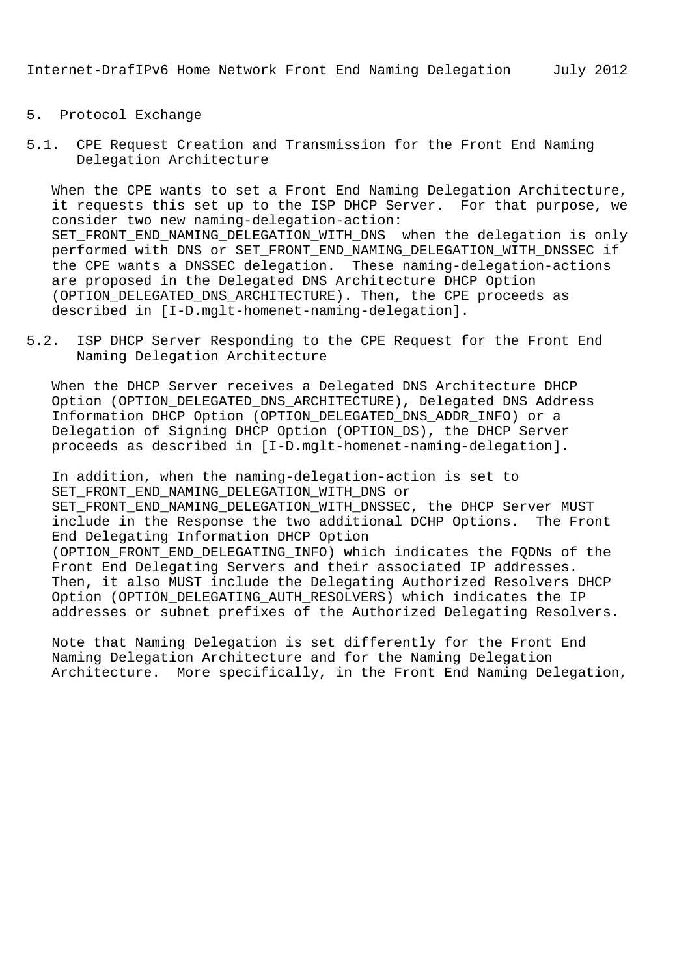- 5. Protocol Exchange
- 5.1. CPE Request Creation and Transmission for the Front End Naming Delegation Architecture

 When the CPE wants to set a Front End Naming Delegation Architecture, it requests this set up to the ISP DHCP Server. For that purpose, we consider two new naming-delegation-action: SET FRONT END NAMING DELEGATION WITH DNS when the delegation is only performed with DNS or SET FRONT END NAMING DELEGATION WITH DNSSEC if the CPE wants a DNSSEC delegation. These naming-delegation-actions are proposed in the Delegated DNS Architecture DHCP Option (OPTION DELEGATED DNS ARCHITECTURE). Then, the CPE proceeds as described in [I-D.mglt-homenet-naming-delegation].

5.2. ISP DHCP Server Responding to the CPE Request for the Front End Naming Delegation Architecture

 When the DHCP Server receives a Delegated DNS Architecture DHCP Option (OPTION\_DELEGATED\_DNS\_ARCHITECTURE), Delegated DNS Address Information DHCP Option (OPTION\_DELEGATED\_DNS\_ADDR\_INFO) or a Delegation of Signing DHCP Option (OPTION\_DS), the DHCP Server proceeds as described in [I-D.mglt-homenet-naming-delegation].

 In addition, when the naming-delegation-action is set to SET\_FRONT\_END\_NAMING\_DELEGATION\_WITH\_DNS or SET\_FRONT\_END\_NAMING\_DELEGATION\_WITH\_DNSSEC, the DHCP Server MUST include in the Response the two additional DCHP Options. The Front End Delegating Information DHCP Option (OPTION\_FRONT\_END\_DELEGATING\_INFO) which indicates the FQDNs of the Front End Delegating Servers and their associated IP addresses. Then, it also MUST include the Delegating Authorized Resolvers DHCP Option (OPTION\_DELEGATING\_AUTH\_RESOLVERS) which indicates the IP addresses or subnet prefixes of the Authorized Delegating Resolvers.

 Note that Naming Delegation is set differently for the Front End Naming Delegation Architecture and for the Naming Delegation Architecture. More specifically, in the Front End Naming Delegation,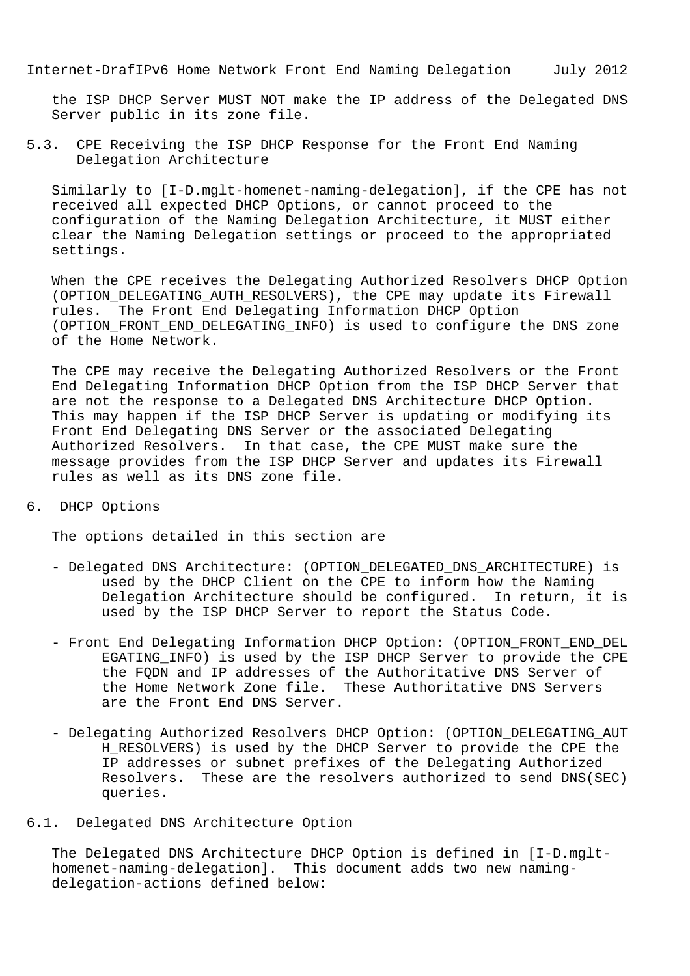the ISP DHCP Server MUST NOT make the IP address of the Delegated DNS Server public in its zone file.

5.3. CPE Receiving the ISP DHCP Response for the Front End Naming Delegation Architecture

 Similarly to [I-D.mglt-homenet-naming-delegation], if the CPE has not received all expected DHCP Options, or cannot proceed to the configuration of the Naming Delegation Architecture, it MUST either clear the Naming Delegation settings or proceed to the appropriated settings.

 When the CPE receives the Delegating Authorized Resolvers DHCP Option (OPTION DELEGATING AUTH RESOLVERS), the CPE may update its Firewall rules. The Front End Delegating Information DHCP Option (OPTION\_FRONT\_END\_DELEGATING\_INFO) is used to configure the DNS zone of the Home Network.

 The CPE may receive the Delegating Authorized Resolvers or the Front End Delegating Information DHCP Option from the ISP DHCP Server that are not the response to a Delegated DNS Architecture DHCP Option. This may happen if the ISP DHCP Server is updating or modifying its Front End Delegating DNS Server or the associated Delegating Authorized Resolvers. In that case, the CPE MUST make sure the message provides from the ISP DHCP Server and updates its Firewall rules as well as its DNS zone file.

6. DHCP Options

The options detailed in this section are

- Delegated DNS Architecture: (OPTION DELEGATED DNS ARCHITECTURE) is used by the DHCP Client on the CPE to inform how the Naming Delegation Architecture should be configured. In return, it is used by the ISP DHCP Server to report the Status Code.
- Front End Delegating Information DHCP Option: (OPTION\_FRONT\_END\_DEL EGATING\_INFO) is used by the ISP DHCP Server to provide the CPE the FQDN and IP addresses of the Authoritative DNS Server of the Home Network Zone file. These Authoritative DNS Servers are the Front End DNS Server.
- Delegating Authorized Resolvers DHCP Option: (OPTION DELEGATING AUT H\_RESOLVERS) is used by the DHCP Server to provide the CPE the IP addresses or subnet prefixes of the Delegating Authorized Resolvers. These are the resolvers authorized to send DNS(SEC) queries.
- 6.1. Delegated DNS Architecture Option

 The Delegated DNS Architecture DHCP Option is defined in [I-D.mglt homenet-naming-delegation]. This document adds two new naming delegation-actions defined below: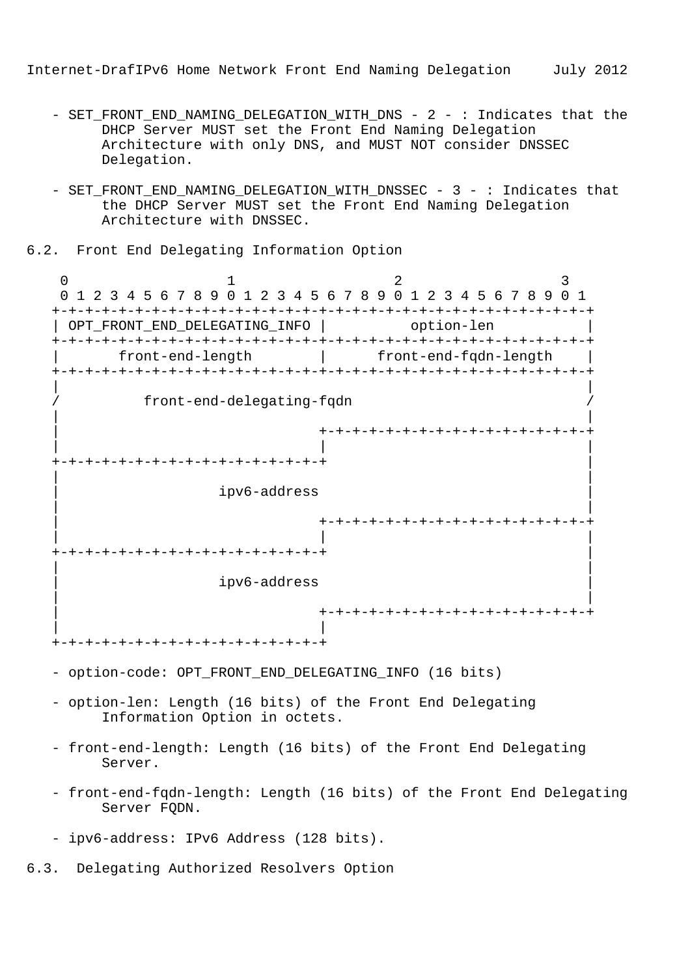- SET FRONT END NAMING DELEGATION WITH DNS 2 : Indicates that the DHCP Server MUST set the Front End Naming Delegation Architecture with only DNS, and MUST NOT consider DNSSEC Delegation.
- SET\_FRONT\_END\_NAMING\_DELEGATION\_WITH\_DNSSEC 3 : Indicates that the DHCP Server MUST set the Front End Naming Delegation Architecture with DNSSEC.

6.2. Front End Delegating Information Option

0  $1$  2 3 0 1 2 3 4 5 6 7 8 9 0 1 2 3 4 5 6 7 8 9 0 1 2 3 4 5 6 7 8 9 0 1 +-+-+-+-+-+-+-+-+-+-+-+-+-+-+-+-+-+-+-+-+-+-+-+-+-+-+-+-+-+-+-+-+ | OPT\_FRONT\_END\_DELEGATING\_INFO | option-len +-+-+-+-+-+-+-+-+-+-+-+-+-+-+-+-+-+-+-+-+-+-+-+-+-+-+-+-+-+-+-+-+ | front-end-length | front-end-fqdn-length | +-+-+-+-+-+-+-+-+-+-+-+-+-+-+-+-+-+-+-+-+-+-+-+-+-+-+-+-+-+-+-+-+ | | / front-end-delegating-fqdn / | | | +-+-+-+-+-+-+-+-+-+-+-+-+-+-+-+-+ | | | +-+-+-+-+-+-+-+-+-+-+-+-+-+-+-+-+ | | | | ipv6-address | | | | +-+-+-+-+-+-+-+-+-+-+-+-+-+-+-+-+ | | | +-+-+-+-+-+-+-+-+-+-+-+-+-+-+-+-+ | | | | ipv6-address | | | | +-+-+-+-+-+-+-+-+-+-+-+-+-+-+-+-+ | | +-+-+-+-+-+-+-+-+-+-+-+-+-+-+-+-+

- option-code: OPT\_FRONT\_END\_DELEGATING\_INFO (16 bits)
- option-len: Length (16 bits) of the Front End Delegating Information Option in octets.
- front-end-length: Length (16 bits) of the Front End Delegating Server.
- front-end-fqdn-length: Length (16 bits) of the Front End Delegating Server FODN.

6.3. Delegating Authorized Resolvers Option

 <sup>-</sup> ipv6-address: IPv6 Address (128 bits).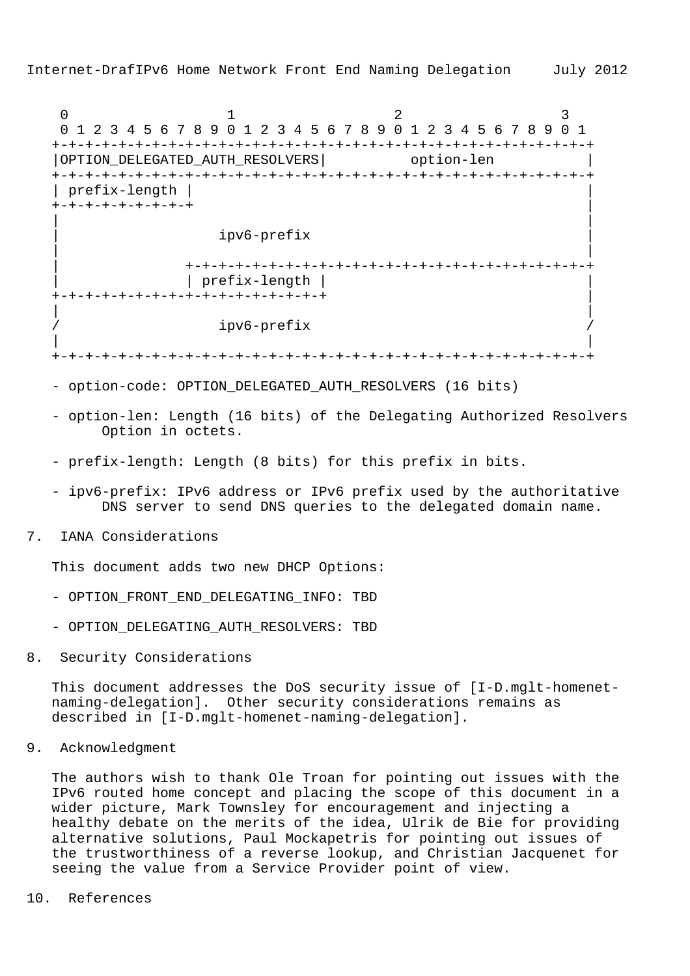0  $1$  2 3 0 1 2 3 4 5 6 7 8 9 0 1 2 3 4 5 6 7 8 9 0 1 2 3 4 5 6 7 8 9 0 1 +-+-+-+-+-+-+-+-+-+-+-+-+-+-+-+-+-+-+-+-+-+-+-+-+-+-+-+-+-+-+-+-+ | OPTION DELEGATED AUTH RESOLVERS | option-len +-+-+-+-+-+-+-+-+-+-+-+-+-+-+-+-+-+-+-+-+-+-+-+-+-+-+-+-+-+-+-+-+ | prefix-length | | +-+-+-+-+-+-+-+-+ | | | | ipv6-prefix | | | | +-+-+-+-+-+-+-+-+-+-+-+-+-+-+-+-+-+-+-+-+-+-+-+-+ | | prefix-length | | +-+-+-+-+-+-+-+-+-+-+-+-+-+-+-+-+ | | | ipv6-prefix | |

+-+-+-+-+-+-+-+-+-+-+-+-+-+-+-+-+-+-+-+-+-+-+-+-+-+-+-+-+-+-+-+-+

- option-code: OPTION DELEGATED AUTH RESOLVERS (16 bits)
- option-len: Length (16 bits) of the Delegating Authorized Resolvers Option in octets.
- prefix-length: Length (8 bits) for this prefix in bits.
- ipv6-prefix: IPv6 address or IPv6 prefix used by the authoritative DNS server to send DNS queries to the delegated domain name.
- 7. IANA Considerations

This document adds two new DHCP Options:

- OPTION\_FRONT\_END\_DELEGATING\_INFO: TBD
- OPTION\_DELEGATING\_AUTH\_RESOLVERS: TBD
- 8. Security Considerations

 This document addresses the DoS security issue of [I-D.mglt-homenet naming-delegation]. Other security considerations remains as described in [I-D.mglt-homenet-naming-delegation].

9. Acknowledgment

 The authors wish to thank Ole Troan for pointing out issues with the IPv6 routed home concept and placing the scope of this document in a wider picture, Mark Townsley for encouragement and injecting a healthy debate on the merits of the idea, Ulrik de Bie for providing alternative solutions, Paul Mockapetris for pointing out issues of the trustworthiness of a reverse lookup, and Christian Jacquenet for seeing the value from a Service Provider point of view.

10. References